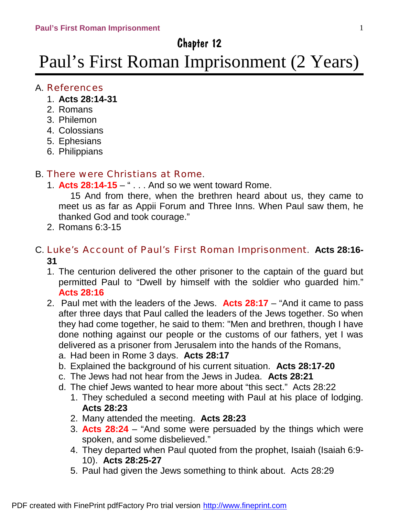# Chapter 12

# Paul's First Roman Imprisonment (2 Years)

## A. References

- 1. **Acts 28:14-31**
- 2. Romans
- 3. Philemon
- 4. Colossians
- 5. Ephesians
- 6. Philippians

# B. There were Christians at Rome.

1. **Acts 28:14-15** – " . . . And so we went toward Rome.

15 And from there, when the brethren heard about us, they came to meet us as far as Appii Forum and Three Inns. When Paul saw them, he thanked God and took courage."

2. Romans 6:3-15

# C. Luke's Account of Paul's First Roman Imprisonment. **Acts 28:16- 31**

- 1. The centurion delivered the other prisoner to the captain of the guard but permitted Paul to "Dwell by himself with the soldier who guarded him." **Acts 28:16**
- 2. Paul met with the leaders of the Jews. **Acts 28:17** "And it came to pass after three days that Paul called the leaders of the Jews together. So when they had come together, he said to them: "Men and brethren, though I have done nothing against our people or the customs of our fathers, yet I was delivered as a prisoner from Jerusalem into the hands of the Romans,
	- a. Had been in Rome 3 days. **Acts 28:17**
	- b. Explained the background of his current situation. **Acts 28:17-20**
	- c. The Jews had not hear from the Jews in Judea. **Acts 28:21**
	- d. The chief Jews wanted to hear more about "this sect." Acts 28:22
		- 1. They scheduled a second meeting with Paul at his place of lodging. **Acts 28:23**
		- 2. Many attended the meeting. **Acts 28:23**
		- 3. **Acts 28:24** "And some were persuaded by the things which were spoken, and some disbelieved."
		- 4. They departed when Paul quoted from the prophet, Isaiah (Isaiah 6:9- 10). **Acts 28:25-27**
		- 5. Paul had given the Jews something to think about. Acts 28:29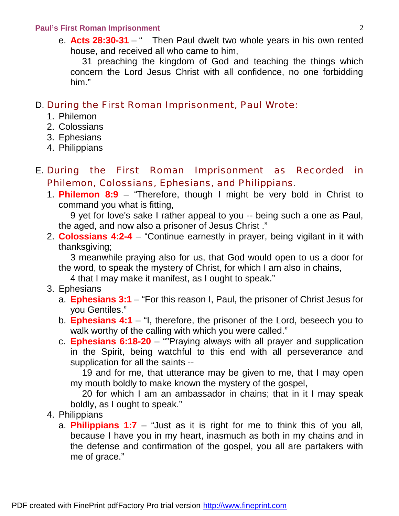#### **Paul's First Roman Imprisonment** 2

 e. **Acts 28:30-31** – " Then Paul dwelt two whole years in his own rented house, and received all who came to him,

31 preaching the kingdom of God and teaching the things which concern the Lord Jesus Christ with all confidence, no one forbidding him."

#### D. During the First Roman Imprisonment, Paul Wrote:

- 1. Philemon
- 2. Colossians
- 3. Ephesians
- 4. Philippians
- E. During the First Roman Imprisonment as Recorded in Philemon, Colossians, Ephesians, and Philippians.
	- 1. **Philemon 8:9** "Therefore, though I might be very bold in Christ to command you what is fitting,

9 yet for love's sake I rather appeal to you -- being such a one as Paul, the aged, and now also a prisoner of Jesus Christ ."

2. **Colossians 4:2-4** – "Continue earnestly in prayer, being vigilant in it with thanksgiving;

3 meanwhile praying also for us, that God would open to us a door for the word, to speak the mystery of Christ, for which I am also in chains,

4 that I may make it manifest, as I ought to speak."

- 3. Ephesians
	- a. **Ephesians 3:1** "For this reason I, Paul, the prisoner of Christ Jesus for you Gentiles."
	- b. **Ephesians 4:1** "I, therefore, the prisoner of the Lord, beseech you to walk worthy of the calling with which you were called."
	- c. **Ephesians 6:18-20** ""Praying always with all prayer and supplication in the Spirit, being watchful to this end with all perseverance and supplication for all the saints --

 19 and for me, that utterance may be given to me, that I may open my mouth boldly to make known the mystery of the gospel,

 20 for which I am an ambassador in chains; that in it I may speak boldly, as I ought to speak."

- 4. Philippians
	- a. **Philippians 1:7** "Just as it is right for me to think this of you all, because I have you in my heart, inasmuch as both in my chains and in the defense and confirmation of the gospel, you all are partakers with me of grace."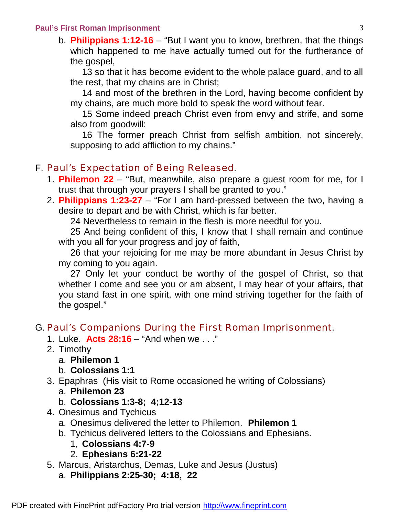#### **Paul's First Roman Imprisonment** 3

b. **Philippians 1:12-16** – "But I want you to know, brethren, that the things which happened to me have actually turned out for the furtherance of the gospel,

13 so that it has become evident to the whole palace guard, and to all the rest, that my chains are in Christ;

14 and most of the brethren in the Lord, having become confident by my chains, are much more bold to speak the word without fear.

15 Some indeed preach Christ even from envy and strife, and some also from goodwill:

16 The former preach Christ from selfish ambition, not sincerely, supposing to add affliction to my chains."

#### F. Paul's Expectation of Being Released.

- 1. **Philemon 22** "But, meanwhile, also prepare a guest room for me, for I trust that through your prayers I shall be granted to you."
- 2. **Philippians 1:23-27** "For I am hard-pressed between the two, having a desire to depart and be with Christ, which is far better.

24 Nevertheless to remain in the flesh is more needful for you.

25 And being confident of this, I know that I shall remain and continue with you all for your progress and joy of faith,

26 that your rejoicing for me may be more abundant in Jesus Christ by my coming to you again.

27 Only let your conduct be worthy of the gospel of Christ, so that whether I come and see you or am absent, I may hear of your affairs, that you stand fast in one spirit, with one mind striving together for the faith of the gospel."

#### G. Paul's Companions During the First Roman Imprisonment.

- 1. Luke. **Acts 28:16** "And when we . . ."
- 2. Timothy
	- a. **Philemon 1**
	- b. **Colossians 1:1**
- 3. Epaphras (His visit to Rome occasioned he writing of Colossians)
	- a. **Philemon 23**
	- b. **Colossians 1:3-8; 4;12-13**
- 4. Onesimus and Tychicus
	- a. Onesimus delivered the letter to Philemon. **Philemon 1**
	- b. Tychicus delivered letters to the Colossians and Ephesians.
		- 1, **Colossians 4:7-9**
		- 2. **Ephesians 6:21-22**
- 5. Marcus, Aristarchus, Demas, Luke and Jesus (Justus) a. **Philippians 2:25-30; 4:18, 22**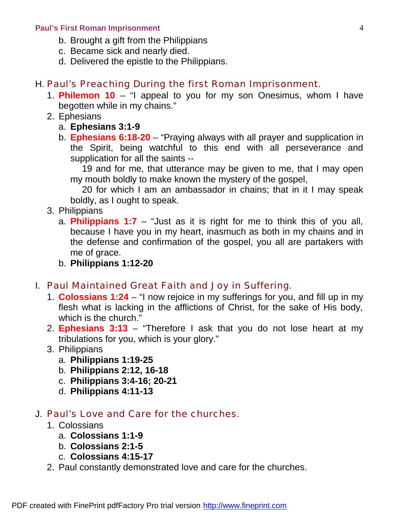#### **Paul's First Roman Imprisonment** 4

- b. Brought a gift from the Philippians
- c. Became sick and nearly died.
- d. Delivered the epistle to the Philippians.

#### H. Paul's Preaching During the first Roman Imprisonment.

- 1. **Philemon 10** "I appeal to you for my son Onesimus, whom I have begotten while in my chains."
- 2. Ephesians
	- a. **Ephesians 3:1-9**
	- b. **Ephesians 6:18-20** "Praying always with all prayer and supplication in the Spirit, being watchful to this end with all perseverance and supplication for all the saints --

19 and for me, that utterance may be given to me, that I may open my mouth boldly to make known the mystery of the gospel,

20 for which I am an ambassador in chains; that in it I may speak boldly, as I ought to speak.

- 3. Philippians
	- a. **Philippians 1:7** "Just as it is right for me to think this of you all, because I have you in my heart, inasmuch as both in my chains and in the defense and confirmation of the gospel, you all are partakers with me of grace.
	- b. **Philippians 1:12-20**

#### I. Paul Maintained Great Faith and Joy in Suffering.

- 1. **Colossians 1:24** "I now rejoice in my sufferings for you, and fill up in my flesh what is lacking in the afflictions of Christ, for the sake of His body, which is the church.'
- 2. **Ephesians 3:13** "Therefore I ask that you do not lose heart at my tribulations for you, which is your glory."
- 3. Philippians
	- a. **Philippians 1:19-25**
	- b. **Philippians 2:12, 16-18**
	- c. **Philippians 3:4-16; 20-21**
	- d. **Philippians 4:11-13**

#### J. Paul's Love and Care for the churches.

- 1. Colossians
	- a. **Colossians 1:1-9**
	- b. **Colossians 2:1-5**
	- c. **Colossians 4:15-17**
- 2. Paul constantly demonstrated love and care for the churches.